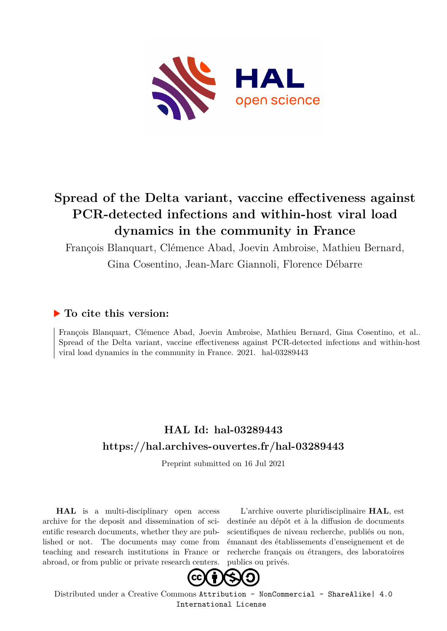

# **Spread of the Delta variant, vaccine effectiveness against PCR-detected infections and within-host viral load dynamics in the community in France**

François Blanquart, Clémence Abad, Joevin Ambroise, Mathieu Bernard, Gina Cosentino, Jean-Marc Giannoli, Florence Débarre

### **To cite this version:**

François Blanquart, Clémence Abad, Joevin Ambroise, Mathieu Bernard, Gina Cosentino, et al.. Spread of the Delta variant, vaccine effectiveness against PCR-detected infections and within-host viral load dynamics in the community in France.  $2021.$  hal- $03289443$ 

## **HAL Id: hal-03289443 <https://hal.archives-ouvertes.fr/hal-03289443>**

Preprint submitted on 16 Jul 2021

**HAL** is a multi-disciplinary open access archive for the deposit and dissemination of scientific research documents, whether they are published or not. The documents may come from teaching and research institutions in France or abroad, or from public or private research centers.

L'archive ouverte pluridisciplinaire **HAL**, est destinée au dépôt et à la diffusion de documents scientifiques de niveau recherche, publiés ou non, émanant des établissements d'enseignement et de recherche français ou étrangers, des laboratoires publics ou privés.



Distributed under a Creative Commons [Attribution - NonCommercial - ShareAlike| 4.0](http://creativecommons.org/licenses/by-nc-sa/4.0/) [International License](http://creativecommons.org/licenses/by-nc-sa/4.0/)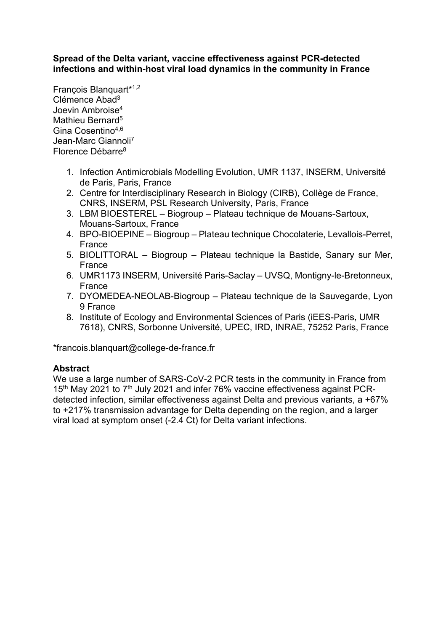#### **Spread of the Delta variant, vaccine effectiveness against PCR-detected infections and within-host viral load dynamics in the community in France**

François Blanquart\*1,2 Clémence Abad<sup>3</sup> Joevin Ambroise4 Mathieu Bernard<sup>5</sup> Gina Cosentino4,6 Jean-Marc Giannoli7 Florence Débarre<sup>8</sup>

- 1. Infection Antimicrobials Modelling Evolution, UMR 1137, INSERM, Université de Paris, Paris, France
- 2. Centre for Interdisciplinary Research in Biology (CIRB), Collège de France, CNRS, INSERM, PSL Research University, Paris, France
- 3. LBM BIOESTEREL Biogroup Plateau technique de Mouans-Sartoux, Mouans-Sartoux, France
- 4. BPO-BIOEPINE Biogroup Plateau technique Chocolaterie, Levallois-Perret, France
- 5. BIOLITTORAL Biogroup Plateau technique la Bastide, Sanary sur Mer, France
- 6. UMR1173 INSERM, Université Paris-Saclay UVSQ, Montigny-le-Bretonneux, France
- 7. DYOMEDEA-NEOLAB-Biogroup Plateau technique de la Sauvegarde, Lyon 9 France
- 8. Institute of Ecology and Environmental Sciences of Paris (iEES-Paris, UMR 7618), CNRS, Sorbonne Université, UPEC, IRD, INRAE, 75252 Paris, France

\*francois.blanquart@college-de-france.fr

#### **Abstract**

We use a large number of SARS-CoV-2 PCR tests in the community in France from 15<sup>th</sup> May 2021 to 7<sup>th</sup> July 2021 and infer 76% vaccine effectiveness against PCRdetected infection, similar effectiveness against Delta and previous variants, a +67% to +217% transmission advantage for Delta depending on the region, and a larger viral load at symptom onset (-2.4 Ct) for Delta variant infections.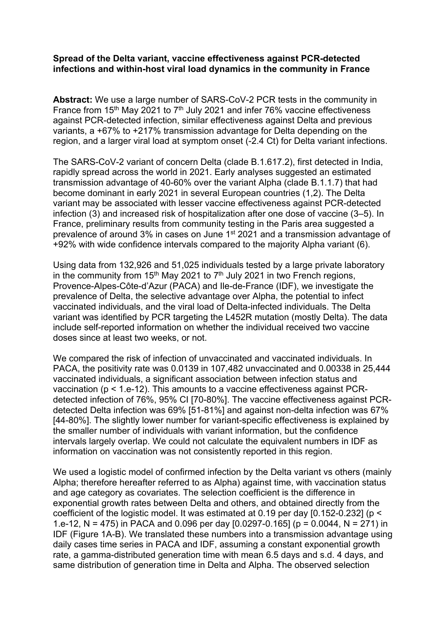#### **Spread of the Delta variant, vaccine effectiveness against PCR-detected infections and within-host viral load dynamics in the community in France**

**Abstract:** We use a large number of SARS-CoV-2 PCR tests in the community in France from 15<sup>th</sup> May 2021 to  $7<sup>th</sup>$  July 2021 and infer 76% vaccine effectiveness against PCR-detected infection, similar effectiveness against Delta and previous variants, a +67% to +217% transmission advantage for Delta depending on the region, and a larger viral load at symptom onset (-2.4 Ct) for Delta variant infections.

The SARS-CoV-2 variant of concern Delta (clade B.1.617.2), first detected in India, rapidly spread across the world in 2021. Early analyses suggested an estimated transmission advantage of 40-60% over the variant Alpha (clade B.1.1.7) that had become dominant in early 2021 in several European countries (1,2). The Delta variant may be associated with lesser vaccine effectiveness against PCR-detected infection (3) and increased risk of hospitalization after one dose of vaccine (3–5). In France, preliminary results from community testing in the Paris area suggested a prevalence of around 3% in cases on June 1<sup>st</sup> 2021 and a transmission advantage of +92% with wide confidence intervals compared to the majority Alpha variant (6).

Using data from 132,926 and 51,025 individuals tested by a large private laboratory in the community from 15<sup>th</sup> May 2021 to  $7<sup>th</sup>$  July 2021 in two French regions, Provence-Alpes-Côte-d'Azur (PACA) and Ile-de-France (IDF), we investigate the prevalence of Delta, the selective advantage over Alpha, the potential to infect vaccinated individuals, and the viral load of Delta-infected individuals. The Delta variant was identified by PCR targeting the L452R mutation (mostly Delta). The data include self-reported information on whether the individual received two vaccine doses since at least two weeks, or not.

We compared the risk of infection of unvaccinated and vaccinated individuals. In PACA, the positivity rate was 0.0139 in 107,482 unvaccinated and 0.00338 in 25,444 vaccinated individuals, a significant association between infection status and vaccination (p < 1.e-12). This amounts to a vaccine effectiveness against PCRdetected infection of 76%, 95% CI [70-80%]. The vaccine effectiveness against PCRdetected Delta infection was 69% [51-81%] and against non-delta infection was 67% [44-80%]. The slightly lower number for variant-specific effectiveness is explained by the smaller number of individuals with variant information, but the confidence intervals largely overlap. We could not calculate the equivalent numbers in IDF as information on vaccination was not consistently reported in this region.

We used a logistic model of confirmed infection by the Delta variant vs others (mainly Alpha; therefore hereafter referred to as Alpha) against time, with vaccination status and age category as covariates. The selection coefficient is the difference in exponential growth rates between Delta and others, and obtained directly from the coefficient of the logistic model. It was estimated at 0.19 per day  $[0.152-0.232]$  (p < 1.e-12, N = 475) in PACA and 0.096 per day  $[0.0297 - 0.165]$  (p = 0.0044, N = 271) in IDF (Figure 1A-B). We translated these numbers into a transmission advantage using daily cases time series in PACA and IDF, assuming a constant exponential growth rate, a gamma-distributed generation time with mean 6.5 days and s.d. 4 days, and same distribution of generation time in Delta and Alpha. The observed selection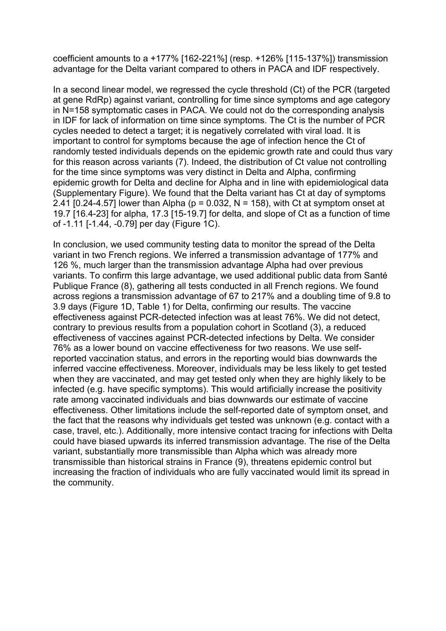coefficient amounts to a +177% [162-221%] (resp. +126% [115-137%]) transmission advantage for the Delta variant compared to others in PACA and IDF respectively.

In a second linear model, we regressed the cycle threshold (Ct) of the PCR (targeted at gene RdRp) against variant, controlling for time since symptoms and age category in N=158 symptomatic cases in PACA. We could not do the corresponding analysis in IDF for lack of information on time since symptoms. The Ct is the number of PCR cycles needed to detect a target; it is negatively correlated with viral load. It is important to control for symptoms because the age of infection hence the Ct of randomly tested individuals depends on the epidemic growth rate and could thus vary for this reason across variants (7). Indeed, the distribution of Ct value not controlling for the time since symptoms was very distinct in Delta and Alpha, confirming epidemic growth for Delta and decline for Alpha and in line with epidemiological data (Supplementary Figure). We found that the Delta variant has Ct at day of symptoms 2.41  $[0.24-4.57]$  lower than Alpha (p = 0.032, N = 158), with Ct at symptom onset at 19.7 [16.4-23] for alpha, 17.3 [15-19.7] for delta, and slope of Ct as a function of time of -1.11 [-1.44, -0.79] per day (Figure 1C).

In conclusion, we used community testing data to monitor the spread of the Delta variant in two French regions. We inferred a transmission advantage of 177% and 126 %, much larger than the transmission advantage Alpha had over previous variants. To confirm this large advantage, we used additional public data from Santé Publique France (8), gathering all tests conducted in all French regions. We found across regions a transmission advantage of 67 to 217% and a doubling time of 9.8 to 3.9 days (Figure 1D, Table 1) for Delta, confirming our results. The vaccine effectiveness against PCR-detected infection was at least 76%. We did not detect, contrary to previous results from a population cohort in Scotland (3), a reduced effectiveness of vaccines against PCR-detected infections by Delta. We consider 76% as a lower bound on vaccine effectiveness for two reasons. We use selfreported vaccination status, and errors in the reporting would bias downwards the inferred vaccine effectiveness. Moreover, individuals may be less likely to get tested when they are vaccinated, and may get tested only when they are highly likely to be infected (e.g. have specific symptoms). This would artificially increase the positivity rate among vaccinated individuals and bias downwards our estimate of vaccine effectiveness. Other limitations include the self-reported date of symptom onset, and the fact that the reasons why individuals get tested was unknown (e.g. contact with a case, travel, etc.). Additionally, more intensive contact tracing for infections with Delta could have biased upwards its inferred transmission advantage. The rise of the Delta variant, substantially more transmissible than Alpha which was already more transmissible than historical strains in France (9), threatens epidemic control but increasing the fraction of individuals who are fully vaccinated would limit its spread in the community.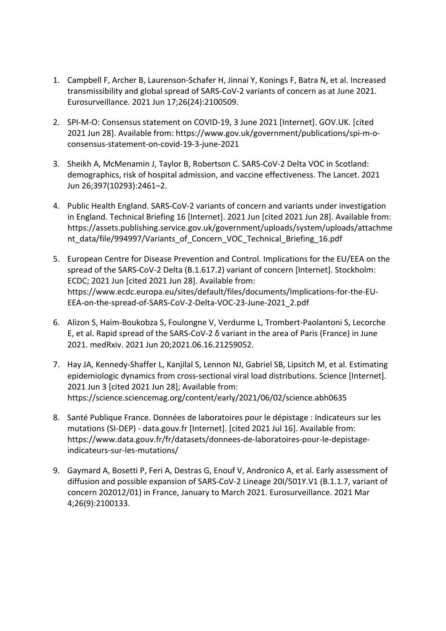- 1. Campbell F, Archer B, Laurenson-Schafer H, Jinnai Y, Konings F, Batra N, et al. Increased transmissibility and global spread of SARS-CoV-2 variants of concern as at June 2021. Eurosurveillance. 2021 Jun 17;26(24):2100509.
- 2. SPI-M-O: Consensus statement on COVID-19, 3 June 2021 [Internet]. GOV.UK. [cited 2021 Jun 28]. Available from: https://www.gov.uk/government/publications/spi-m-oconsensus-statement-on-covid-19-3-june-2021
- 3. Sheikh A, McMenamin J, Taylor B, Robertson C. SARS-CoV-2 Delta VOC in Scotland: demographics, risk of hospital admission, and vaccine effectiveness. The Lancet. 2021 Jun 26;397(10293):2461–2.
- 4. Public Health England. SARS-CoV-2 variants of concern and variants under investigation in England. Technical Briefing 16 [Internet]. 2021 Jun [cited 2021 Jun 28]. Available from: https://assets.publishing.service.gov.uk/government/uploads/system/uploads/attachme nt\_data/file/994997/Variants\_of\_Concern\_VOC\_Technical\_Briefing\_16.pdf
- 5. European Centre for Disease Prevention and Control. Implications for the EU/EEA on the spread of the SARS-CoV-2 Delta (B.1.617.2) variant of concern [Internet]. Stockholm: ECDC; 2021 Jun [cited 2021 Jun 28]. Available from: https://www.ecdc.europa.eu/sites/default/files/documents/Implications-for-the-EU-EEA-on-the-spread-of-SARS-CoV-2-Delta-VOC-23-June-2021\_2.pdf
- 6. Alizon S, Haim-Boukobza S, Foulongne V, Verdurme L, Trombert-Paolantoni S, Lecorche E, et al. Rapid spread of the SARS-CoV-2 δ variant in the area of Paris (France) in June 2021. medRxiv. 2021 Jun 20;2021.06.16.21259052.
- 7. Hay JA, Kennedy-Shaffer L, Kanjilal S, Lennon NJ, Gabriel SB, Lipsitch M, et al. Estimating epidemiologic dynamics from cross-sectional viral load distributions. Science [Internet]. 2021 Jun 3 [cited 2021 Jun 28]; Available from: https://science.sciencemag.org/content/early/2021/06/02/science.abh0635
- 8. Santé Publique France. Données de laboratoires pour le dépistage : Indicateurs sur les mutations (SI-DEP) - data.gouv.fr [Internet]. [cited 2021 Jul 16]. Available from: https://www.data.gouv.fr/fr/datasets/donnees-de-laboratoires-pour-le-depistageindicateurs-sur-les-mutations/
- 9. Gaymard A, Bosetti P, Feri A, Destras G, Enouf V, Andronico A, et al. Early assessment of diffusion and possible expansion of SARS-CoV-2 Lineage 20I/501Y.V1 (B.1.1.7, variant of concern 202012/01) in France, January to March 2021. Eurosurveillance. 2021 Mar 4;26(9):2100133.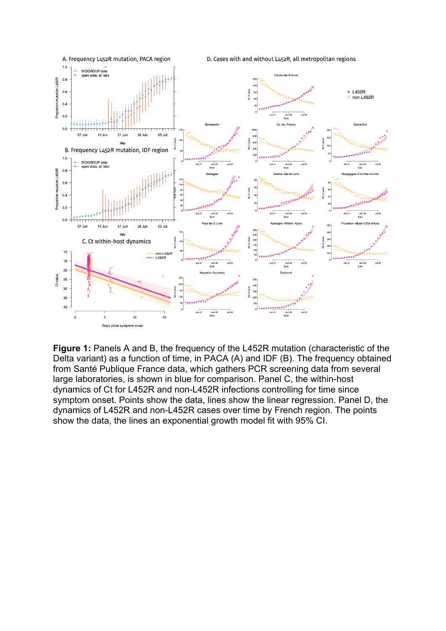

**Figure 1:** Panels A and B, the frequency of the L452R mutation (characteristic of the Delta variant) as a function of time, in PACA (A) and IDF (B). The frequency obtained from Santé Publique France data, which gathers PCR screening data from several large laboratories, is shown in blue for comparison. Panel C, the within-host dynamics of Ct for L452R and non-L452R infections controlling for time since symptom onset. Points show the data, lines show the linear regression. Panel D, the dynamics of L452R and non-L452R cases over time by French region. The points show the data, the lines an exponential growth model fit with 95% CI.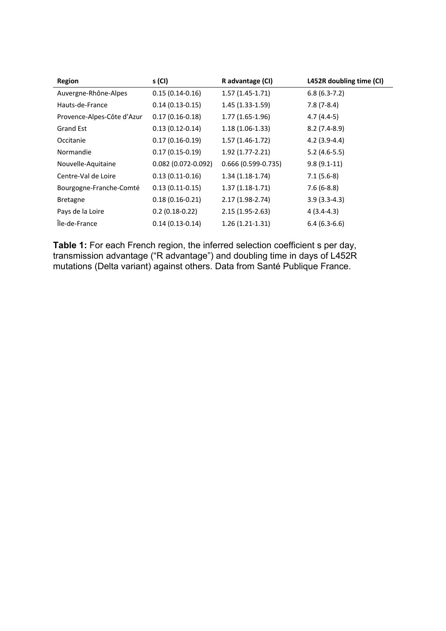| <b>Region</b>              | s (CI)                | R advantage (CI)       | L452R doubling time (CI) |
|----------------------------|-----------------------|------------------------|--------------------------|
| Auvergne-Rhône-Alpes       | $0.15(0.14-0.16)$     | $1.57(1.45-1.71)$      | $6.8(6.3-7.2)$           |
| Hauts-de-France            | $0.14(0.13-0.15)$     | $1.45(1.33-1.59)$      | $7.8(7-8.4)$             |
| Provence-Alpes-Côte d'Azur | $0.17(0.16 - 0.18)$   | $1.77(1.65-1.96)$      | $4.7(4.4-5)$             |
| Grand Est                  | $0.13(0.12-0.14)$     | $1.18(1.06-1.33)$      | $8.2(7.4-8.9)$           |
| Occitanie                  | $0.17(0.16-0.19)$     | $1.57(1.46-1.72)$      | $4.2(3.9-4.4)$           |
| Normandie                  | $0.17(0.15-0.19)$     | $1.92(1.77-2.21)$      | $5.2(4.6-5.5)$           |
| Nouvelle-Aquitaine         | $0.082$ (0.072-0.092) | $0.666(0.599 - 0.735)$ | $9.8(9.1-11)$            |
| Centre-Val de Loire        | $0.13(0.11-0.16)$     | $1.34(1.18-1.74)$      | $7.1(5.6-8)$             |
| Bourgogne-Franche-Comté    | $0.13(0.11-0.15)$     | $1.37(1.18-1.71)$      | $7.6(6-8.8)$             |
| <b>Bretagne</b>            | $0.18(0.16 - 0.21)$   | $2.17(1.98-2.74)$      | $3.9(3.3-4.3)$           |
| Pays de la Loire           | $0.2(0.18-0.22)$      | $2.15(1.95-2.63)$      | $4(3.4-4.3)$             |
| Île-de-France              | $0.14(0.13-0.14)$     | $1.26(1.21-1.31)$      | $6.4(6.3-6.6)$           |

**Table 1:** For each French region, the inferred selection coefficient s per day, transmission advantage ("R advantage") and doubling time in days of L452R mutations (Delta variant) against others. Data from Santé Publique France.